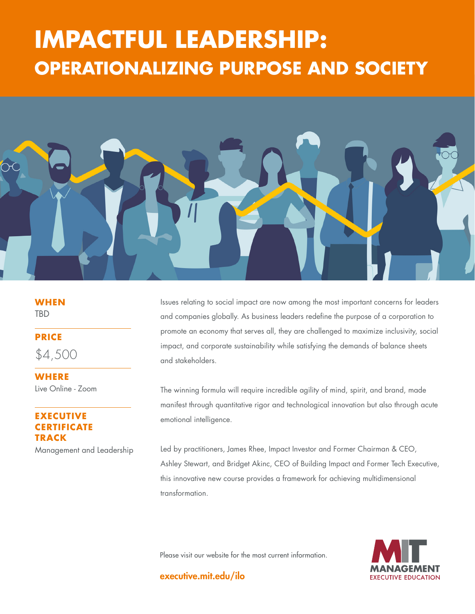# **THAT THE HILL**<br>ING DHEDOSE AND SOCIE **STRATEGY: IMPACTFUL LEADERSHIP: OPERATIONALIZING PURPOSE AND SOCIETY**



**WHEN TBD** 

**PRICE**

\$4,500

**WHERE** Live Online - Zoom

## **EXECUTIVE CERTIFICATE TRACK**

Management and Leadership

Issues relating to social impact are now among the most important concerns for leaders and companies globally. As business leaders redefine the purpose of a corporation to promote an economy that serves all, they are challenged to maximize inclusivity, social impact, and corporate sustainability while satisfying the demands of balance sheets and stakeholders.

The winning formula will require incredible agility of mind, spirit, and brand, made manifest through quantitative rigor and technological innovation but also through acute emotional intelligence.

Led by practitioners, James Rhee, Impact Investor and Former Chairman & CEO, Ashley Stewart, and Bridget Akinc, CEO of Building Impact and Former Tech Executive, this innovative new course provides a framework for achieving multidimensional transformation.

Please visit our website for the most current information.